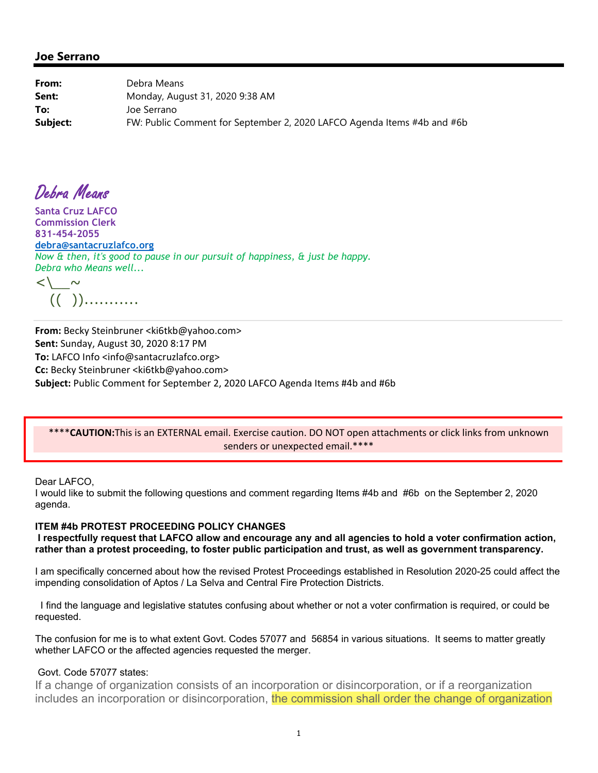**From:** Debra Means **Sent:** Monday, August 31, 2020 9:38 AM **To:** Joe Serrano **Subject:** FW: Public Comment for September 2, 2020 LAFCO Agenda Items #4b and #6b

Debra Means

**Santa Cruz LAFCO Commission Clerk 831-454-2055 debra@santacruzlafco.org** *Now & then, it's good to pause in our pursuit of happiness, & just be happy. Debra who Means well...* 

 $\langle\, \rangle$   $\sim$ (( ))...........

**From:** Becky Steinbruner <ki6tkb@yahoo.com> **Sent:** Sunday, August 30, 2020 8:17 PM **To:** LAFCO Info <info@santacruzlafco.org> **Cc:** Becky Steinbruner <ki6tkb@yahoo.com> **Subject:** Public Comment for September 2, 2020 LAFCO Agenda Items #4b and #6b

# \*\*\*\***CAUTION:**This is an EXTERNAL email. Exercise caution. DO NOT open attachments or click links from unknown senders or unexpected email.\*\*\*\*

## Dear LAFCO,

I would like to submit the following questions and comment regarding Items #4b and #6b on the September 2, 2020 agenda.

# **ITEM #4b PROTEST PROCEEDING POLICY CHANGES**

 **I respectfully request that LAFCO allow and encourage any and all agencies to hold a voter confirmation action, rather than a protest proceeding, to foster public participation and trust, as well as government transparency.**

I am specifically concerned about how the revised Protest Proceedings established in Resolution 2020-25 could affect the impending consolidation of Aptos / La Selva and Central Fire Protection Districts.

 I find the language and legislative statutes confusing about whether or not a voter confirmation is required, or could be requested.

The confusion for me is to what extent Govt. Codes 57077 and 56854 in various situations. It seems to matter greatly whether LAFCO or the affected agencies requested the merger.

# Govt. Code 57077 states:

If a change of organization consists of an incorporation or disincorporation, or if a reorganization includes an incorporation or disincorporation, the commission shall order the change of organization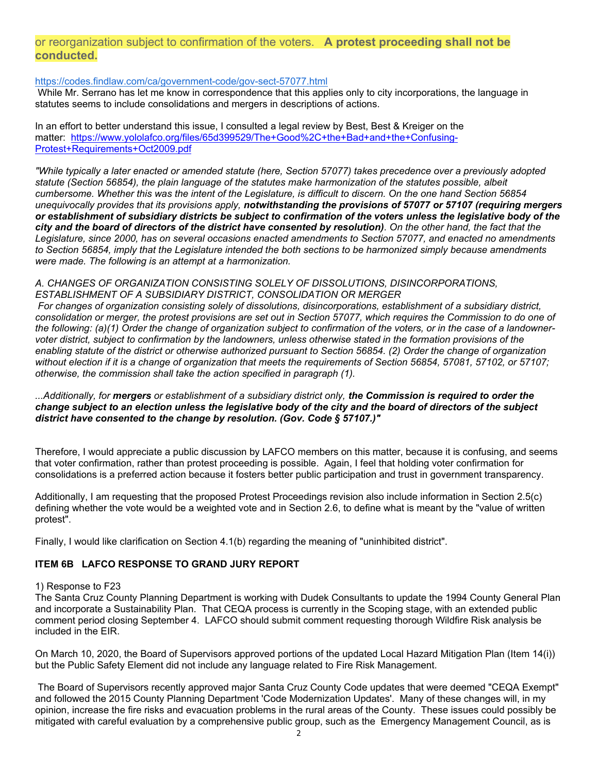# or reorganization subject to confirmation of the voters. **A protest proceeding shall not be conducted.**

## https://codes.findlaw.com/ca/government-code/gov-sect-57077.html

 While Mr. Serrano has let me know in correspondence that this applies only to city incorporations, the language in statutes seems to include consolidations and mergers in descriptions of actions.

In an effort to better understand this issue, I consulted a legal review by Best, Best & Kreiger on the matter: https://www.yololafco.org/files/65d399529/The+Good%2C+the+Bad+and+the+Confusing-Protest+Requirements+Oct2009.pdf

*"While typically a later enacted or amended statute (here, Section 57077) takes precedence over a previously adopted statute (Section 56854), the plain language of the statutes make harmonization of the statutes possible, albeit cumbersome. Whether this was the intent of the Legislature, is difficult to discern. On the one hand Section 56854 unequivocally provides that its provisions apply, notwithstanding the provisions of 57077 or 57107 (requiring mergers or establishment of subsidiary districts be subject to confirmation of the voters unless the legislative body of the city and the board of directors of the district have consented by resolution). On the other hand, the fact that the Legislature, since 2000, has on several occasions enacted amendments to Section 57077, and enacted no amendments to Section 56854, imply that the Legislature intended the both sections to be harmonized simply because amendments were made. The following is an attempt at a harmonization.*

## *A. CHANGES OF ORGANIZATION CONSISTING SOLELY OF DISSOLUTIONS, DISINCORPORATIONS, ESTABLISHMENT OF A SUBSIDIARY DISTRICT, CONSOLIDATION OR MERGER*

 *For changes of organization consisting solely of dissolutions, disincorporations, establishment of a subsidiary district, consolidation or merger, the protest provisions are set out in Section 57077, which requires the Commission to do one of the following: (a)(1) Order the change of organization subject to confirmation of the voters, or in the case of a landownervoter district, subject to confirmation by the landowners, unless otherwise stated in the formation provisions of the enabling statute of the district or otherwise authorized pursuant to Section 56854. (2) Order the change of organization without election if it is a change of organization that meets the requirements of Section 56854, 57081, 57102, or 57107; otherwise, the commission shall take the action specified in paragraph (1).* 

*...Additionally, for mergers or establishment of a subsidiary district only, the Commission is required to order the change subject to an election unless the legislative body of the city and the board of directors of the subject district have consented to the change by resolution. (Gov. Code § 57107.)"*

Therefore, I would appreciate a public discussion by LAFCO members on this matter, because it is confusing, and seems that voter confirmation, rather than protest proceeding is possible. Again, I feel that holding voter confirmation for consolidations is a preferred action because it fosters better public participation and trust in government transparency.

Additionally, I am requesting that the proposed Protest Proceedings revision also include information in Section 2.5(c) defining whether the vote would be a weighted vote and in Section 2.6, to define what is meant by the "value of written protest".

Finally, I would like clarification on Section 4.1(b) regarding the meaning of "uninhibited district".

# **ITEM 6B LAFCO RESPONSE TO GRAND JURY REPORT**

## 1) Response to F23

The Santa Cruz County Planning Department is working with Dudek Consultants to update the 1994 County General Plan and incorporate a Sustainability Plan. That CEQA process is currently in the Scoping stage, with an extended public comment period closing September 4. LAFCO should submit comment requesting thorough Wildfire Risk analysis be included in the EIR.

On March 10, 2020, the Board of Supervisors approved portions of the updated Local Hazard Mitigation Plan (Item 14(i)) but the Public Safety Element did not include any language related to Fire Risk Management.

 The Board of Supervisors recently approved major Santa Cruz County Code updates that were deemed "CEQA Exempt" and followed the 2015 County Planning Department 'Code Modernization Updates'. Many of these changes will, in my opinion, increase the fire risks and evacuation problems in the rural areas of the County. These issues could possibly be mitigated with careful evaluation by a comprehensive public group, such as the Emergency Management Council, as is